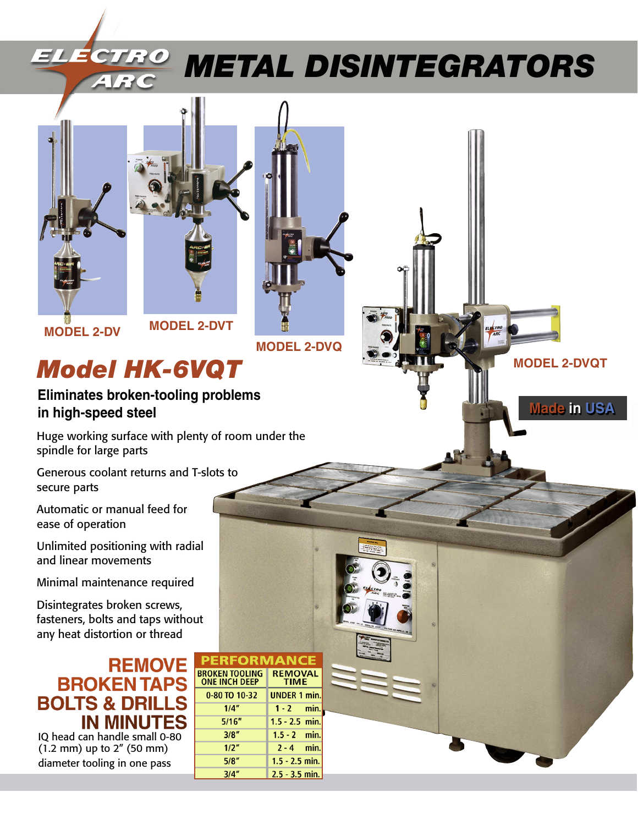

# *Metal Disintegrators Metal Disintegrators*

 **MODEL 2-DVQT**

**Made in USA**





**MODEL 2-DV MODEL 2-DVT** 

 **MODEL 2-DVQ**

## *Model HK-6VQT*

**Eliminates broken-tooling problems in high-speed steel**

Huge working surface with plenty of room under the spindle for large parts

Generous coolant returns and T-slots to secure parts

Automatic or manual feed for ease of operation

Unlimited positioning with radial and linear movements

Minimal maintenance required

Disintegrates broken screws, fasteners, bolts and taps without any heat distortion or thread

### **REMOVE BROKEN TAPS BOLTS & DRILL IN MINUTES**

IQ head can handle small 0-80 (1.2 mm) up to 2" (50 mm) diameter tooling in one pass

| <b>PERFORMANCE</b>                            |                               |
|-----------------------------------------------|-------------------------------|
| <b>BROKEN TOOLING</b><br><b>ONE INCH DEEP</b> | <b>REMOVAL</b><br><b>TIME</b> |
| 0-80 TO 10-32                                 | <b>UNDER 1 min.</b>           |
| 1/4"                                          | $1 - 2$ min.                  |
| 5/16''                                        | $1.5 - 2.5$ min.              |
| 3/8"                                          | $1.5 - 2$ min.                |
| 1/2"                                          | $2 - 4$ min.                  |
| 5/8"                                          | $1.5 - 2.5$ min.              |
| 3/4"                                          | $2.5 - 3.5$ min.              |